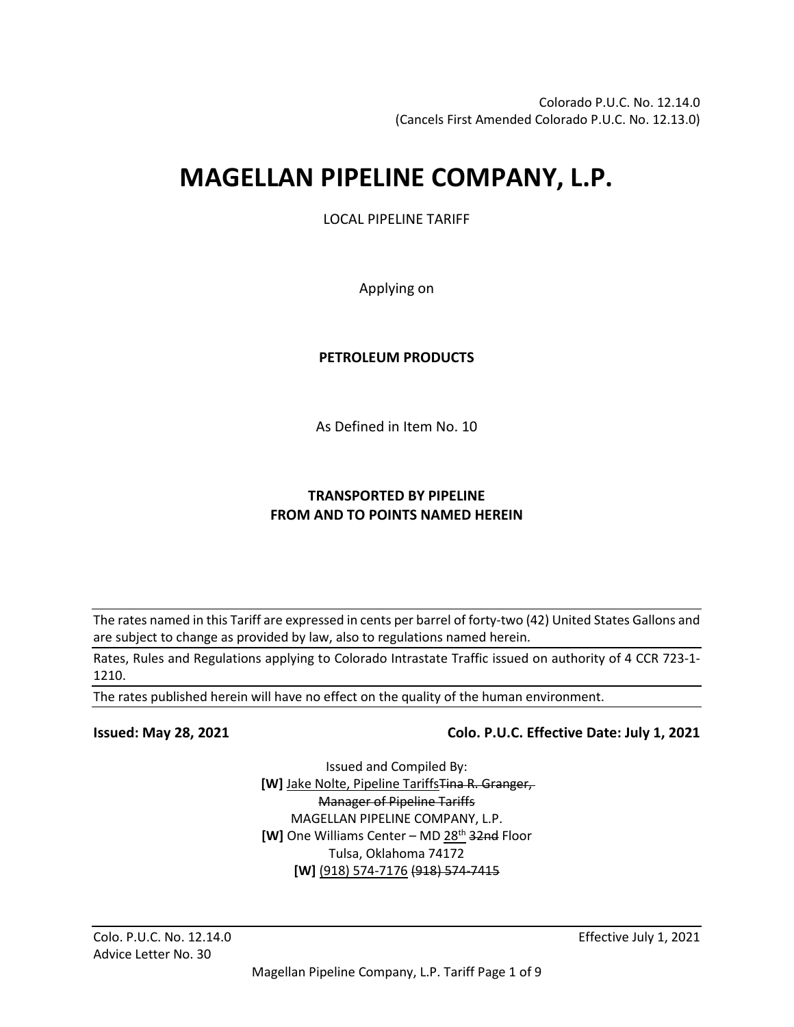# **MAGELLAN PIPELINE COMPANY, L.P.**

LOCAL PIPELINE TARIFF

Applying on

# **PETROLEUM PRODUCTS**

As Defined in Item No. 10

# **TRANSPORTED BY PIPELINE FROM AND TO POINTS NAMED HEREIN**

The rates named in this Tariff are expressed in cents per barrel of forty-two (42) United States Gallons and are subject to change as provided by law, also to regulations named herein.

Rates, Rules and Regulations applying to Colorado Intrastate Traffic issued on authority of 4 CCR 723-1- 1210.

The rates published herein will have no effect on the quality of the human environment.

# **Issued: May 28, 2021 Colo. P.U.C. Effective Date: July 1, 2021**

Issued and Compiled By: **[W]** Jake Nolte, Pipeline TariffsTina R. Granger, Manager of Pipeline Tariffs MAGELLAN PIPELINE COMPANY, L.P. **[W]** One Williams Center – MD 28<sup>th</sup> 32nd Floor Tulsa, Oklahoma 74172 **[W]** (918) 574-7176 (918) 574-7415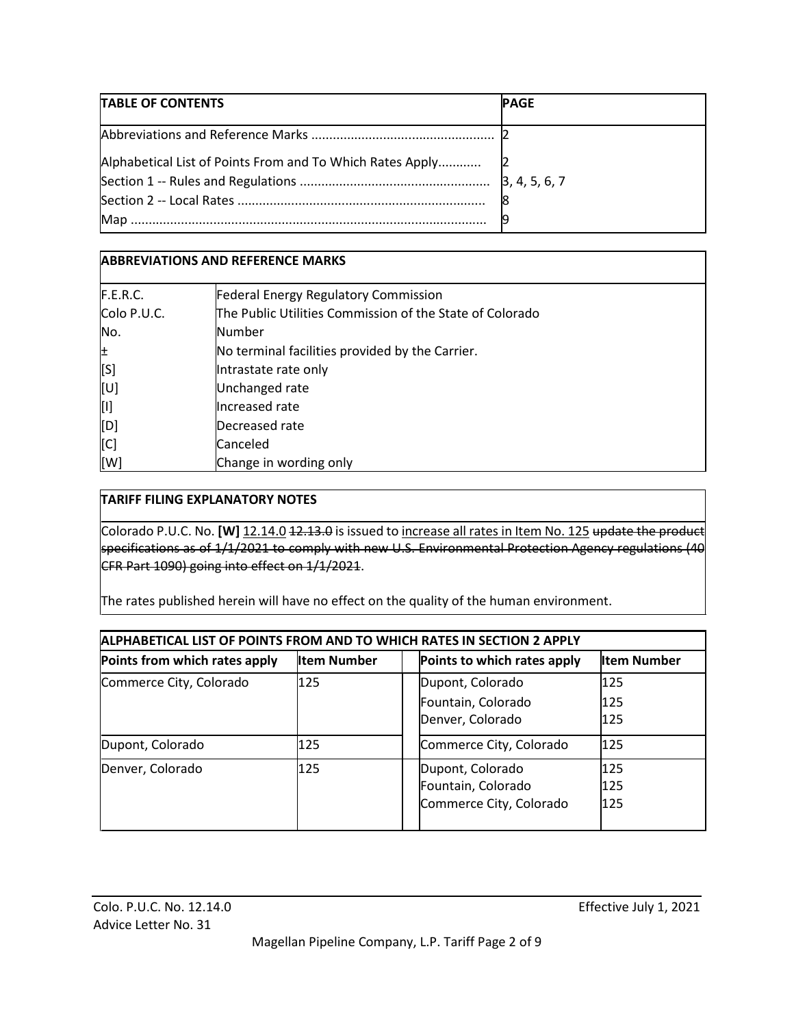| TABLE OF CONTENTS | <b>PAGE</b> |
|-------------------|-------------|
|                   |             |
|                   |             |
|                   |             |
|                   |             |

# **ABBREVIATIONS AND REFERENCE MARKS**

| F.E.R.C.    | <b>Federal Energy Regulatory Commission</b>              |
|-------------|----------------------------------------------------------|
| Colo P.U.C. | The Public Utilities Commission of the State of Colorado |
| No.         | Number                                                   |
| 비           | No terminal facilities provided by the Carrier.          |
| [S]         | Intrastate rate only                                     |
| [U]         | Unchanged rate                                           |
| [۱]         | Increased rate                                           |
| [D]         | Decreased rate                                           |
| [C]         | Canceled                                                 |
| [W]         | Change in wording only                                   |

#### **TARIFF FILING EXPLANATORY NOTES**

Colorado P.U.C. No. **[W]** 12.14.0 12.13.0 is issued to increase all rates in Item No. 125 update the product specifications as of 1/1/2021 to comply with new U.S. Environmental Protection Agency regulations (40 CFR Part 1090) going into effect on 1/1/2021.

The rates published herein will have no effect on the quality of the human environment.

| ALPHABETICAL LIST OF POINTS FROM AND TO WHICH RATES IN SECTION 2 APPLY |                    |  |                             |                    |  |
|------------------------------------------------------------------------|--------------------|--|-----------------------------|--------------------|--|
| Points from which rates apply                                          | <b>Item Number</b> |  | Points to which rates apply | <b>Item Number</b> |  |
| Commerce City, Colorado                                                | 125                |  | Dupont, Colorado            | 125                |  |
|                                                                        |                    |  | Fountain, Colorado          | 125                |  |
|                                                                        |                    |  | Denver, Colorado            | 125                |  |
| Dupont, Colorado                                                       | 125                |  | Commerce City, Colorado     | 125                |  |
| Denver, Colorado                                                       | 125                |  | Dupont, Colorado            | 125                |  |
|                                                                        |                    |  | Fountain, Colorado          | 125                |  |
|                                                                        |                    |  | Commerce City, Colorado     | 125                |  |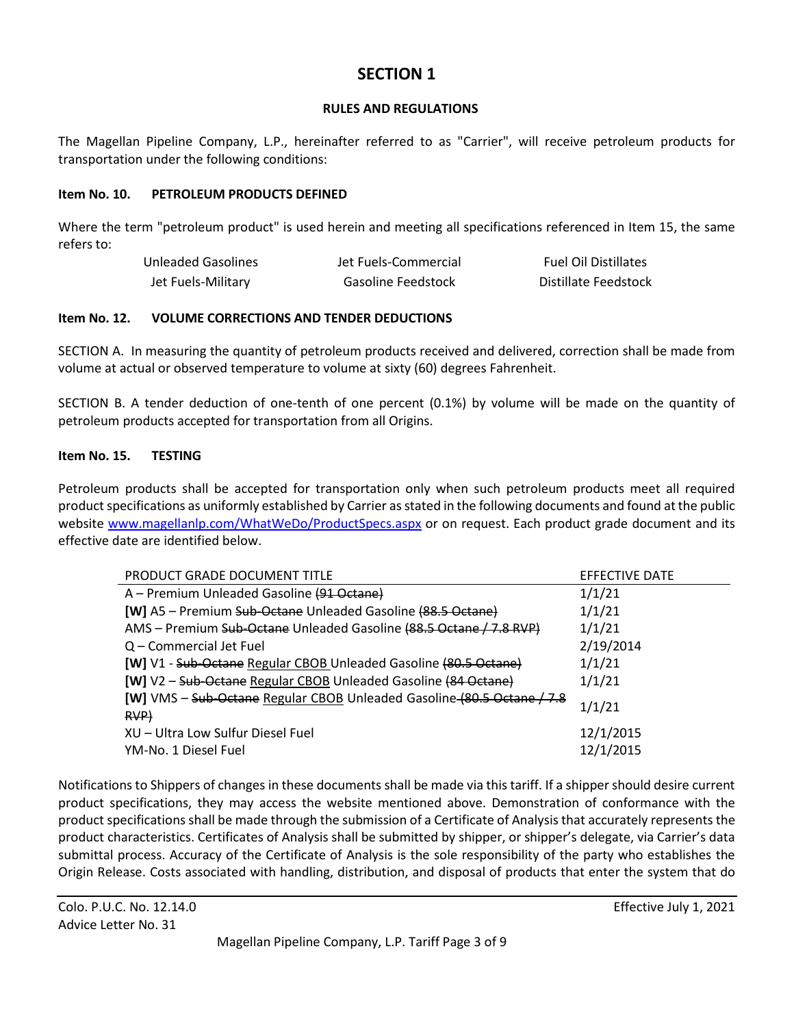# **SECTION 1**

#### **RULES AND REGULATIONS**

The Magellan Pipeline Company, L.P., hereinafter referred to as "Carrier", will receive petroleum products for transportation under the following conditions:

#### **Item No. 10. PETROLEUM PRODUCTS DEFINED**

Where the term "petroleum product" is used herein and meeting all specifications referenced in Item 15, the same refers to:

| Unleaded Gasolines | Jet Fuels-Commercial | <b>Fuel Oil Distillates</b> |
|--------------------|----------------------|-----------------------------|
| Jet Fuels-Military | Gasoline Feedstock   | Distillate Feedstock        |

#### **Item No. 12. VOLUME CORRECTIONS AND TENDER DEDUCTIONS**

SECTION A. In measuring the quantity of petroleum products received and delivered, correction shall be made from volume at actual or observed temperature to volume at sixty (60) degrees Fahrenheit.

SECTION B. A tender deduction of one-tenth of one percent (0.1%) by volume will be made on the quantity of petroleum products accepted for transportation from all Origins.

#### **Item No. 15. TESTING**

Petroleum products shall be accepted for transportation only when such petroleum products meet all required product specifications as uniformly established by Carrier as stated in the following documents and found at the public website www.magellanlp.com/WhatWeDo/ProductSpecs.aspx or on request. Each product grade document and its effective date are identified below.

| <b>PRODUCT GRADE DOCUMENT TITLE</b>                                     | EFFECTIVE DATE |
|-------------------------------------------------------------------------|----------------|
| A - Premium Unleaded Gasoline (91 Octane)                               | 1/1/21         |
| [W] A5 - Premium Sub-Octane Unleaded Gasoline (88.5 Octane)             | 1/1/21         |
| AMS - Premium Sub-Octane Unleaded Gasoline (88.5 Octane / 7.8 RVP)      | 1/1/21         |
| Q – Commercial Jet Fuel                                                 | 2/19/2014      |
| <b>[W]</b> V1 - Sub-Octane Regular CBOB Unleaded Gasoline (80.5 Octane) | 1/1/21         |
| [W] V2 - Sub-Octane Regular CBOB Unleaded Gasoline (84 Octane)          | 1/1/21         |
| [W] VMS - Sub-Octane Regular CBOB Unleaded Gasoline (80.5 Octane / 7.8  | 1/1/21         |
| RVP                                                                     |                |
| XU - Ultra Low Sulfur Diesel Fuel                                       | 12/1/2015      |
| YM-No. 1 Diesel Fuel                                                    | 12/1/2015      |

Notifications to Shippers of changes in these documents shall be made via this tariff. If a shipper should desire current product specifications, they may access the website mentioned above. Demonstration of conformance with the product specifications shall be made through the submission of a Certificate of Analysis that accurately represents the product characteristics. Certificates of Analysis shall be submitted by shipper, or shipper's delegate, via Carrier's data submittal process. Accuracy of the Certificate of Analysis is the sole responsibility of the party who establishes the Origin Release. Costs associated with handling, distribution, and disposal of products that enter the system that do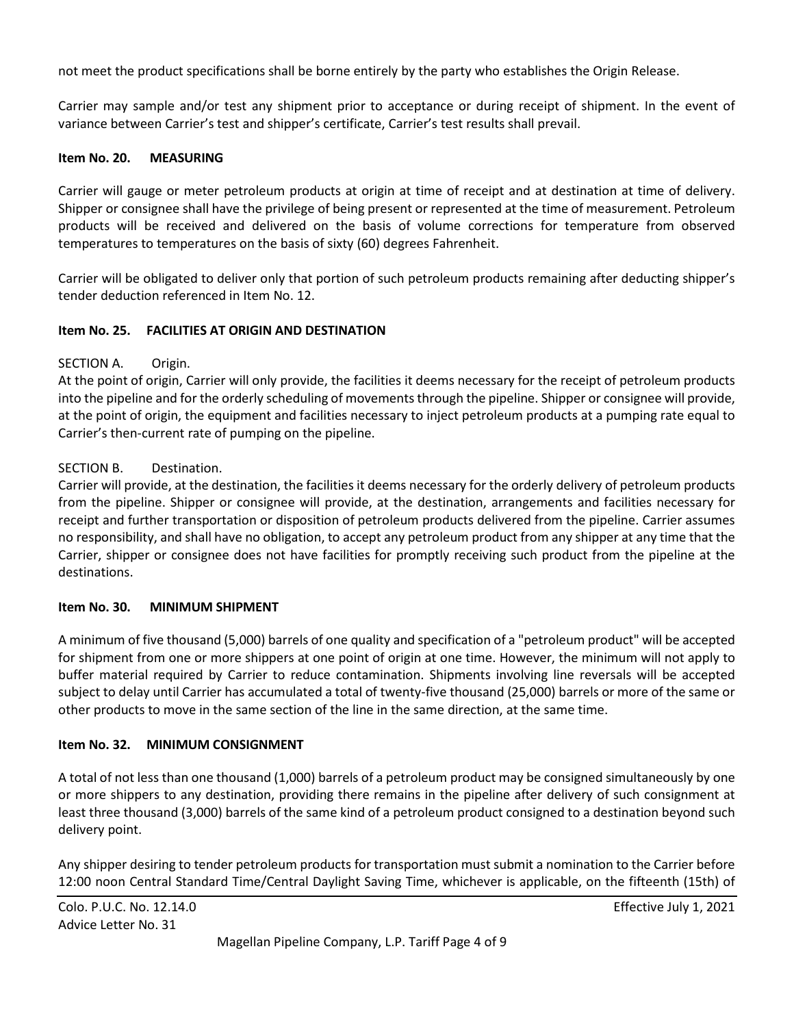not meet the product specifications shall be borne entirely by the party who establishes the Origin Release.

Carrier may sample and/or test any shipment prior to acceptance or during receipt of shipment. In the event of variance between Carrier's test and shipper's certificate, Carrier's test results shall prevail.

#### **Item No. 20. MEASURING**

Carrier will gauge or meter petroleum products at origin at time of receipt and at destination at time of delivery. Shipper or consignee shall have the privilege of being present or represented at the time of measurement. Petroleum products will be received and delivered on the basis of volume corrections for temperature from observed temperatures to temperatures on the basis of sixty (60) degrees Fahrenheit.

Carrier will be obligated to deliver only that portion of such petroleum products remaining after deducting shipper's tender deduction referenced in Item No. 12.

#### **Item No. 25. FACILITIES AT ORIGIN AND DESTINATION**

#### SECTION A. Origin.

At the point of origin, Carrier will only provide, the facilities it deems necessary for the receipt of petroleum products into the pipeline and for the orderly scheduling of movements through the pipeline. Shipper or consignee will provide, at the point of origin, the equipment and facilities necessary to inject petroleum products at a pumping rate equal to Carrier's then-current rate of pumping on the pipeline.

#### SECTION B. Destination.

Carrier will provide, at the destination, the facilities it deems necessary for the orderly delivery of petroleum products from the pipeline. Shipper or consignee will provide, at the destination, arrangements and facilities necessary for receipt and further transportation or disposition of petroleum products delivered from the pipeline. Carrier assumes no responsibility, and shall have no obligation, to accept any petroleum product from any shipper at any time that the Carrier, shipper or consignee does not have facilities for promptly receiving such product from the pipeline at the destinations.

#### **Item No. 30. MINIMUM SHIPMENT**

A minimum of five thousand (5,000) barrels of one quality and specification of a "petroleum product" will be accepted for shipment from one or more shippers at one point of origin at one time. However, the minimum will not apply to buffer material required by Carrier to reduce contamination. Shipments involving line reversals will be accepted subject to delay until Carrier has accumulated a total of twenty-five thousand (25,000) barrels or more of the same or other products to move in the same section of the line in the same direction, at the same time.

#### **Item No. 32. MINIMUM CONSIGNMENT**

A total of not less than one thousand (1,000) barrels of a petroleum product may be consigned simultaneously by one or more shippers to any destination, providing there remains in the pipeline after delivery of such consignment at least three thousand (3,000) barrels of the same kind of a petroleum product consigned to a destination beyond such delivery point.

Any shipper desiring to tender petroleum products for transportation must submit a nomination to the Carrier before 12:00 noon Central Standard Time/Central Daylight Saving Time, whichever is applicable, on the fifteenth (15th) of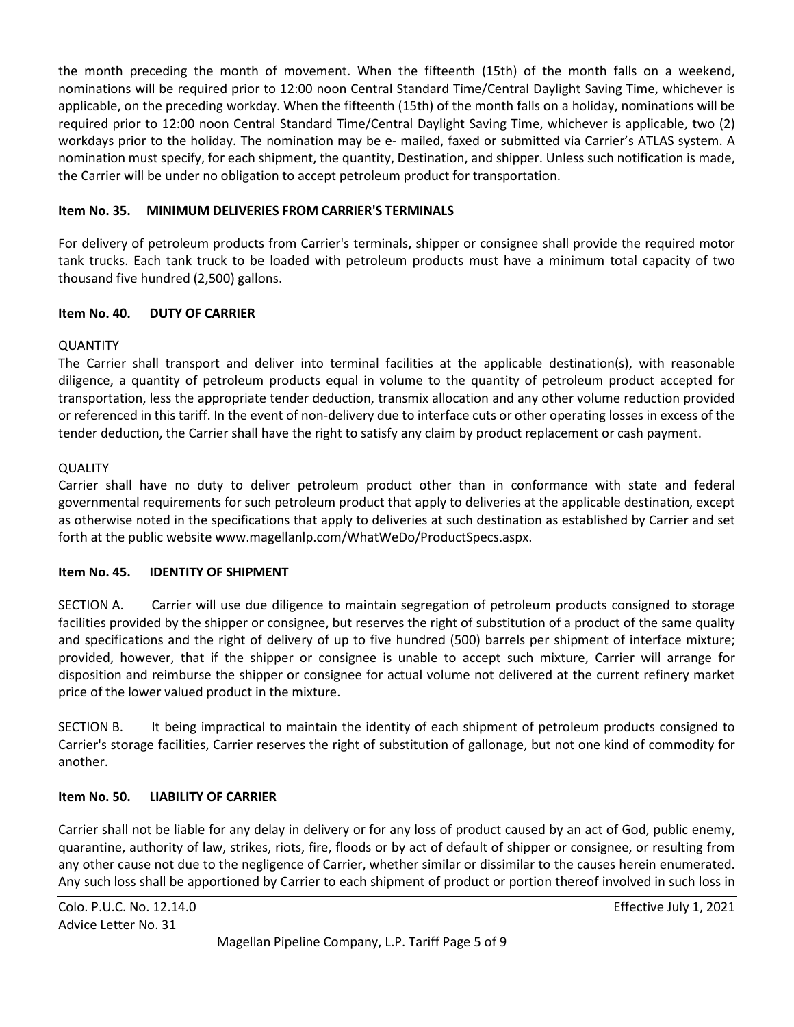the month preceding the month of movement. When the fifteenth (15th) of the month falls on a weekend, nominations will be required prior to 12:00 noon Central Standard Time/Central Daylight Saving Time, whichever is applicable, on the preceding workday. When the fifteenth (15th) of the month falls on a holiday, nominations will be required prior to 12:00 noon Central Standard Time/Central Daylight Saving Time, whichever is applicable, two (2) workdays prior to the holiday. The nomination may be e- mailed, faxed or submitted via Carrier's ATLAS system. A nomination must specify, for each shipment, the quantity, Destination, and shipper. Unless such notification is made, the Carrier will be under no obligation to accept petroleum product for transportation.

#### **Item No. 35. MINIMUM DELIVERIES FROM CARRIER'S TERMINALS**

For delivery of petroleum products from Carrier's terminals, shipper or consignee shall provide the required motor tank trucks. Each tank truck to be loaded with petroleum products must have a minimum total capacity of two thousand five hundred (2,500) gallons.

# **Item No. 40. DUTY OF CARRIER**

# **OUANTITY**

The Carrier shall transport and deliver into terminal facilities at the applicable destination(s), with reasonable diligence, a quantity of petroleum products equal in volume to the quantity of petroleum product accepted for transportation, less the appropriate tender deduction, transmix allocation and any other volume reduction provided or referenced in this tariff. In the event of non-delivery due to interface cuts or other operating losses in excess of the tender deduction, the Carrier shall have the right to satisfy any claim by product replacement or cash payment.

#### **QUALITY**

Carrier shall have no duty to deliver petroleum product other than in conformance with state and federal governmental requirements for such petroleum product that apply to deliveries at the applicable destination, except as otherwise noted in the specifications that apply to deliveries at such destination as established by Carrier and set forth at the public website www.magellanlp.com/WhatWeDo/ProductSpecs.aspx.

#### **Item No. 45. IDENTITY OF SHIPMENT**

SECTION A. Carrier will use due diligence to maintain segregation of petroleum products consigned to storage facilities provided by the shipper or consignee, but reserves the right of substitution of a product of the same quality and specifications and the right of delivery of up to five hundred (500) barrels per shipment of interface mixture; provided, however, that if the shipper or consignee is unable to accept such mixture, Carrier will arrange for disposition and reimburse the shipper or consignee for actual volume not delivered at the current refinery market price of the lower valued product in the mixture.

SECTION B. It being impractical to maintain the identity of each shipment of petroleum products consigned to Carrier's storage facilities, Carrier reserves the right of substitution of gallonage, but not one kind of commodity for another.

# **Item No. 50. LIABILITY OF CARRIER**

Carrier shall not be liable for any delay in delivery or for any loss of product caused by an act of God, public enemy, quarantine, authority of law, strikes, riots, fire, floods or by act of default of shipper or consignee, or resulting from any other cause not due to the negligence of Carrier, whether similar or dissimilar to the causes herein enumerated. Any such loss shall be apportioned by Carrier to each shipment of product or portion thereof involved in such loss in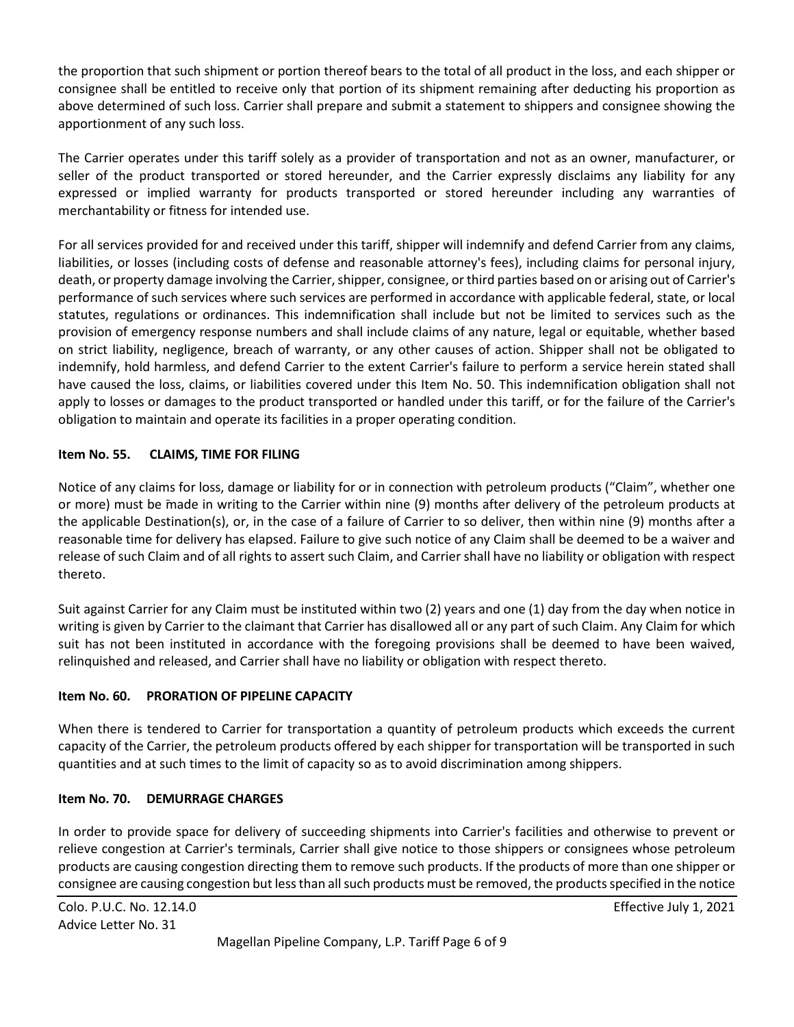the proportion that such shipment or portion thereof bears to the total of all product in the loss, and each shipper or consignee shall be entitled to receive only that portion of its shipment remaining after deducting his proportion as above determined of such loss. Carrier shall prepare and submit a statement to shippers and consignee showing the apportionment of any such loss.

The Carrier operates under this tariff solely as a provider of transportation and not as an owner, manufacturer, or seller of the product transported or stored hereunder, and the Carrier expressly disclaims any liability for any expressed or implied warranty for products transported or stored hereunder including any warranties of merchantability or fitness for intended use.

For all services provided for and received under this tariff, shipper will indemnify and defend Carrier from any claims, liabilities, or losses (including costs of defense and reasonable attorney's fees), including claims for personal injury, death, or property damage involving the Carrier, shipper, consignee, or third parties based on or arising out of Carrier's performance of such services where such services are performed in accordance with applicable federal, state, or local statutes, regulations or ordinances. This indemnification shall include but not be limited to services such as the provision of emergency response numbers and shall include claims of any nature, legal or equitable, whether based on strict liability, negligence, breach of warranty, or any other causes of action. Shipper shall not be obligated to indemnify, hold harmless, and defend Carrier to the extent Carrier's failure to perform a service herein stated shall have caused the loss, claims, or liabilities covered under this Item No. 50. This indemnification obligation shall not apply to losses or damages to the product transported or handled under this tariff, or for the failure of the Carrier's obligation to maintain and operate its facilities in a proper operating condition.

#### **Item No. 55. CLAIMS, TIME FOR FILING**

Notice of any claims for loss, damage or liability for or in connection with petroleum products ("Claim", whether one or more) must be made in writing to the Carrier within nine (9) months after delivery of the petroleum products at the applicable Destination(s), or, in the case of a failure of Carrier to so deliver, then within nine (9) months after a reasonable time for delivery has elapsed. Failure to give such notice of any Claim shall be deemed to be a waiver and release of such Claim and of all rights to assert such Claim, and Carrier shall have no liability or obligation with respect thereto.

Suit against Carrier for any Claim must be instituted within two (2) years and one (1) day from the day when notice in writing is given by Carrier to the claimant that Carrier has disallowed all or any part of such Claim. Any Claim for which suit has not been instituted in accordance with the foregoing provisions shall be deemed to have been waived, relinquished and released, and Carrier shall have no liability or obligation with respect thereto.

#### **Item No. 60. PRORATION OF PIPELINE CAPACITY**

When there is tendered to Carrier for transportation a quantity of petroleum products which exceeds the current capacity of the Carrier, the petroleum products offered by each shipper for transportation will be transported in such quantities and at such times to the limit of capacity so as to avoid discrimination among shippers.

#### **Item No. 70. DEMURRAGE CHARGES**

In order to provide space for delivery of succeeding shipments into Carrier's facilities and otherwise to prevent or relieve congestion at Carrier's terminals, Carrier shall give notice to those shippers or consignees whose petroleum products are causing congestion directing them to remove such products. If the products of more than one shipper or consignee are causing congestion but less than all such products must be removed, the products specified in the notice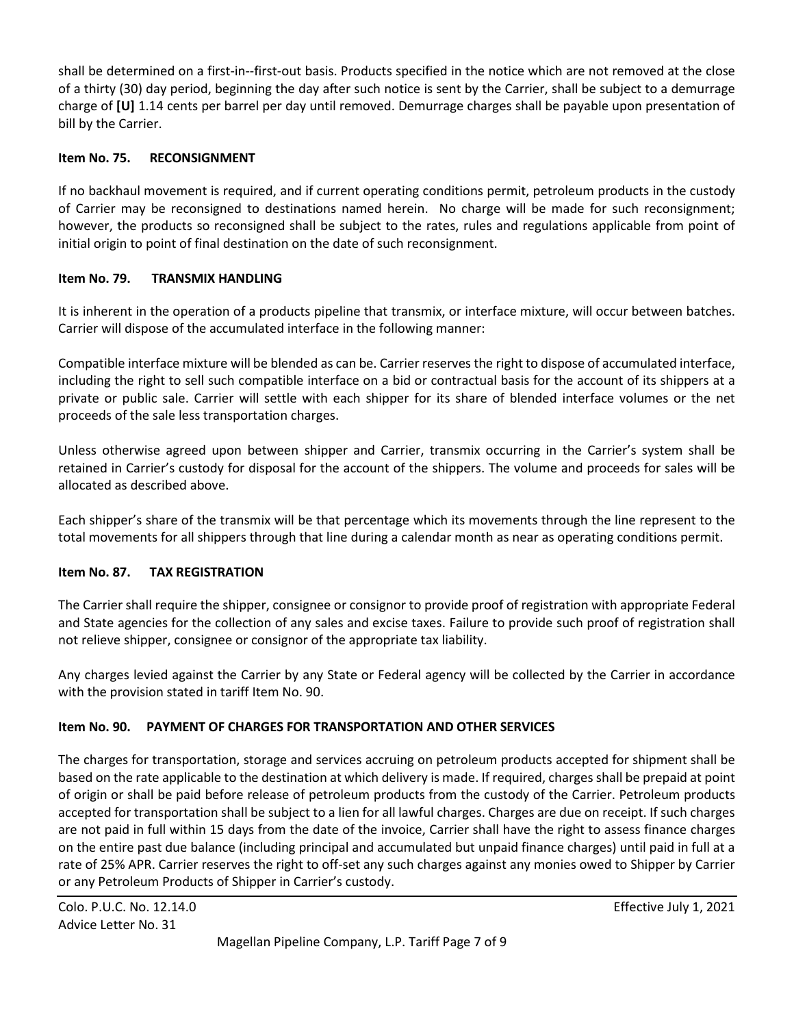shall be determined on a first-in--first-out basis. Products specified in the notice which are not removed at the close of a thirty (30) day period, beginning the day after such notice is sent by the Carrier, shall be subject to a demurrage charge of **[U]** 1.14 cents per barrel per day until removed. Demurrage charges shall be payable upon presentation of bill by the Carrier.

# **Item No. 75. RECONSIGNMENT**

If no backhaul movement is required, and if current operating conditions permit, petroleum products in the custody of Carrier may be reconsigned to destinations named herein. No charge will be made for such reconsignment; however, the products so reconsigned shall be subject to the rates, rules and regulations applicable from point of initial origin to point of final destination on the date of such reconsignment.

# **Item No. 79. TRANSMIX HANDLING**

It is inherent in the operation of a products pipeline that transmix, or interface mixture, will occur between batches. Carrier will dispose of the accumulated interface in the following manner:

Compatible interface mixture will be blended as can be. Carrier reserves the right to dispose of accumulated interface, including the right to sell such compatible interface on a bid or contractual basis for the account of its shippers at a private or public sale. Carrier will settle with each shipper for its share of blended interface volumes or the net proceeds of the sale less transportation charges.

Unless otherwise agreed upon between shipper and Carrier, transmix occurring in the Carrier's system shall be retained in Carrier's custody for disposal for the account of the shippers. The volume and proceeds for sales will be allocated as described above.

Each shipper's share of the transmix will be that percentage which its movements through the line represent to the total movements for all shippers through that line during a calendar month as near as operating conditions permit.

#### **Item No. 87. TAX REGISTRATION**

The Carrier shall require the shipper, consignee or consignor to provide proof of registration with appropriate Federal and State agencies for the collection of any sales and excise taxes. Failure to provide such proof of registration shall not relieve shipper, consignee or consignor of the appropriate tax liability.

Any charges levied against the Carrier by any State or Federal agency will be collected by the Carrier in accordance with the provision stated in tariff Item No. 90.

# **Item No. 90. PAYMENT OF CHARGES FOR TRANSPORTATION AND OTHER SERVICES**

The charges for transportation, storage and services accruing on petroleum products accepted for shipment shall be based on the rate applicable to the destination at which delivery is made. If required, charges shall be prepaid at point of origin or shall be paid before release of petroleum products from the custody of the Carrier. Petroleum products accepted for transportation shall be subject to a lien for all lawful charges. Charges are due on receipt. If such charges are not paid in full within 15 days from the date of the invoice, Carrier shall have the right to assess finance charges on the entire past due balance (including principal and accumulated but unpaid finance charges) until paid in full at a rate of 25% APR. Carrier reserves the right to off-set any such charges against any monies owed to Shipper by Carrier or any Petroleum Products of Shipper in Carrier's custody.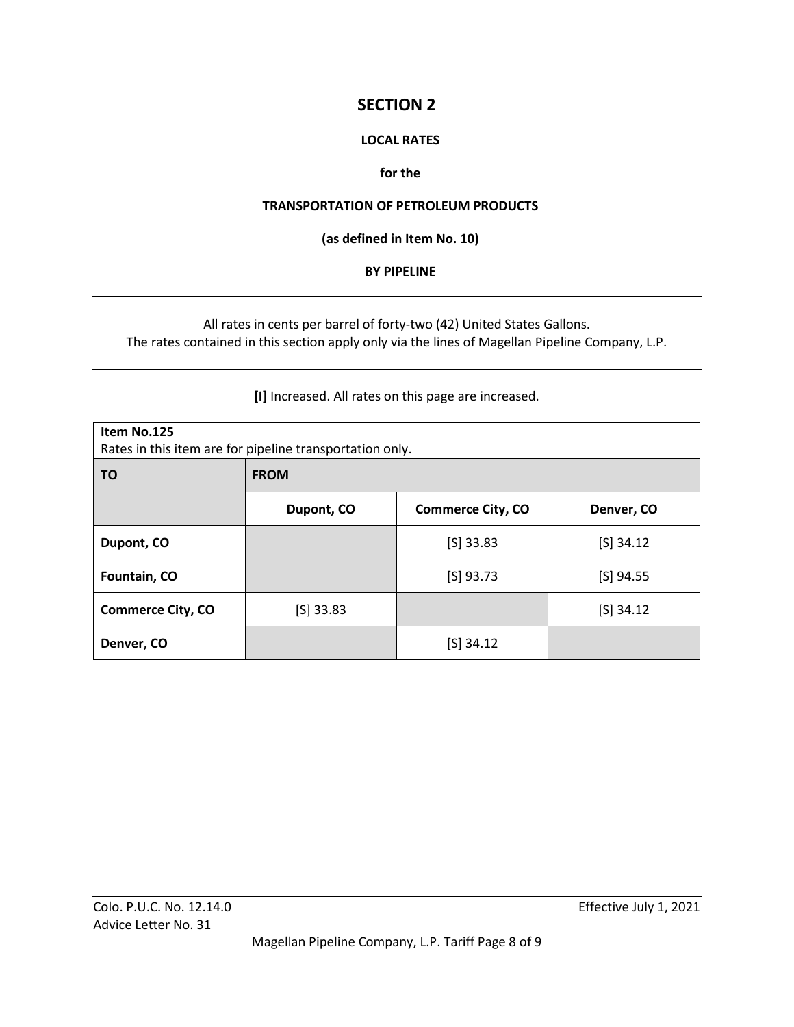# **SECTION 2**

## **LOCAL RATES**

## **for the**

#### **TRANSPORTATION OF PETROLEUM PRODUCTS**

**(as defined in Item No. 10)**

#### **BY PIPELINE**

All rates in cents per barrel of forty-two (42) United States Gallons. The rates contained in this section apply only via the lines of Magellan Pipeline Company, L.P.

**[I]** Increased. All rates on this page are increased.

| Item No.125<br>Rates in this item are for pipeline transportation only. |             |                          |             |
|-------------------------------------------------------------------------|-------------|--------------------------|-------------|
| ΤO                                                                      | <b>FROM</b> |                          |             |
|                                                                         | Dupont, CO  | <b>Commerce City, CO</b> | Denver, CO  |
| Dupont, CO                                                              |             | $[S]$ 33.83              | $[S]$ 34.12 |
| Fountain, CO                                                            |             | $[S]$ 93.73              | $[S]$ 94.55 |
| <b>Commerce City, CO</b>                                                | $[S]$ 33.83 |                          | $[S]$ 34.12 |
| Denver, CO                                                              |             | $[S]$ 34.12              |             |